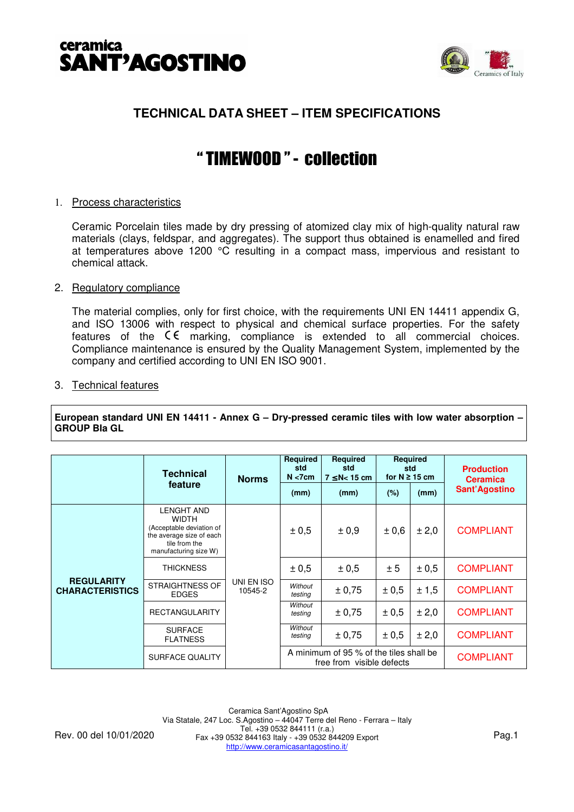



# **TECHNICAL DATA SHEET – ITEM SPECIFICATIONS**

# " TIMEWOOD " - collection

## 1. Process characteristics

Ceramic Porcelain tiles made by dry pressing of atomized clay mix of high-quality natural raw materials (clays, feldspar, and aggregates). The support thus obtained is enamelled and fired at temperatures above 1200 °C resulting in a compact mass, impervious and resistant to chemical attack.

## 2. Regulatory compliance

The material complies, only for first choice, with the requirements UNI EN 14411 appendix G, and ISO 13006 with respect to physical and chemical surface properties. For the safety features of the  $\zeta \xi$  marking, compliance is extended to all commercial choices. Compliance maintenance is ensured by the Quality Management System, implemented by the company and certified according to UNI EN ISO 9001.

## 3. Technical features

**European standard UNI EN 14411 - Annex G – Dry-pressed ceramic tiles with low water absorption – GROUP BIa GL**

|                                             | Technical                                                                                                                           | <b>Norms</b>          | Required<br>std<br>$N < 7$ cm                                        | <b>Required</b><br>std<br>$7 \leq N < 15$ cm | <b>Required</b><br>std<br>for $N \geq 15$ cm |       | <b>Production</b><br><b>Ceramica</b> |
|---------------------------------------------|-------------------------------------------------------------------------------------------------------------------------------------|-----------------------|----------------------------------------------------------------------|----------------------------------------------|----------------------------------------------|-------|--------------------------------------|
|                                             | feature                                                                                                                             |                       | (mm)                                                                 | (mm)                                         | (%)                                          | (mm)  | <b>Sant'Agostino</b>                 |
| <b>REGULARITY</b><br><b>CHARACTERISTICS</b> | <b>LENGHT AND</b><br><b>WIDTH</b><br>(Acceptable deviation of<br>the average size of each<br>tile from the<br>manufacturing size W) | UNI EN ISO<br>10545-2 | ± 0,5                                                                | ± 0,9                                        | $\pm 0.6$                                    | ± 2,0 | <b>COMPLIANT</b>                     |
|                                             | <b>THICKNESS</b>                                                                                                                    |                       | ± 0,5                                                                | ± 0,5                                        | ± 5                                          | ± 0,5 | <b>COMPLIANT</b>                     |
|                                             | <b>STRAIGHTNESS OF</b><br><b>EDGES</b>                                                                                              |                       | Without<br>testing                                                   | ± 0,75                                       | ± 0,5                                        | ± 1,5 | <b>COMPLIANT</b>                     |
|                                             | <b>RECTANGULARITY</b>                                                                                                               |                       | Without<br>testing                                                   | ± 0,75                                       | ± 0,5                                        | ± 2,0 | <b>COMPLIANT</b>                     |
|                                             | <b>SURFACE</b><br><b>FLATNESS</b>                                                                                                   |                       | Without<br>testing                                                   | ± 0,75                                       | ± 0,5                                        | ± 2,0 | <b>COMPLIANT</b>                     |
|                                             | SURFACE QUALITY                                                                                                                     |                       | A minimum of 95 % of the tiles shall be<br>free from visible defects |                                              |                                              |       | <b>COMPLIANT</b>                     |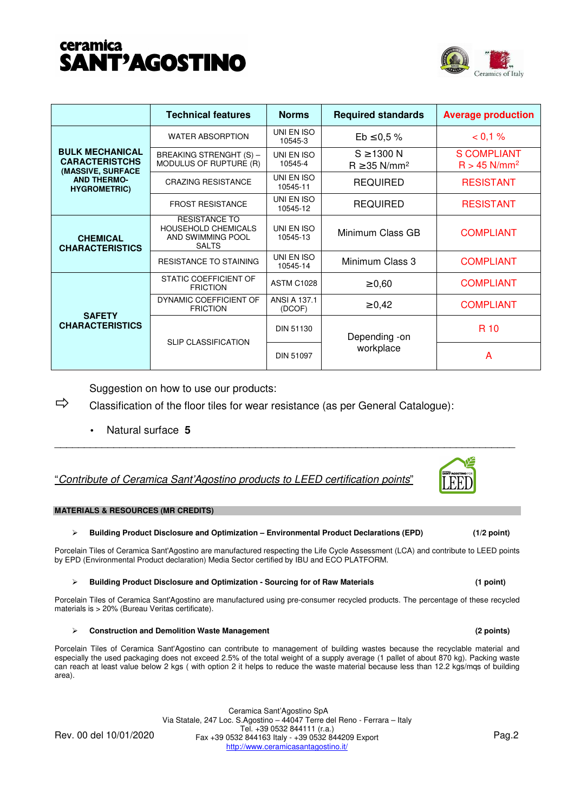# ceramica **SANT'AGOSTINO**



|                                                                                                                   | <b>Technical features</b>                                                               | <b>Norms</b>                  | <b>Required standards</b>                        | <b>Average production</b>                        |
|-------------------------------------------------------------------------------------------------------------------|-----------------------------------------------------------------------------------------|-------------------------------|--------------------------------------------------|--------------------------------------------------|
| <b>BULK MECHANICAL</b><br><b>CARACTERISTCHS</b><br>(MASSIVE, SURFACE<br><b>AND THERMO-</b><br><b>HYGROMETRIC)</b> | <b>WATER ABSORPTION</b>                                                                 | UNI EN ISO<br>10545-3         | $Eb \le 0.5 \%$                                  | $< 0.1 \%$                                       |
|                                                                                                                   | BREAKING STRENGHT (S) -<br>MODULUS OF RUPTURE (R)                                       | UNI EN ISO<br>10545-4         | $S \geq 1300$ N<br>$R \geq 35$ N/mm <sup>2</sup> | <b>S COMPLIANT</b><br>$R > 45$ N/mm <sup>2</sup> |
|                                                                                                                   | <b>CRAZING RESISTANCE</b>                                                               | UNI EN ISO<br>10545-11        | <b>REQUIRED</b>                                  | <b>RESISTANT</b>                                 |
|                                                                                                                   | <b>FROST RESISTANCE</b>                                                                 | UNI EN ISO<br>10545-12        | <b>REQUIRED</b>                                  | <b>RESISTANT</b>                                 |
| <b>CHEMICAL</b><br><b>CHARACTERISTICS</b>                                                                         | <b>RESISTANCE TO</b><br><b>HOUSEHOLD CHEMICALS</b><br>AND SWIMMING POOL<br><b>SALTS</b> | UNI EN ISO<br>10545-13        | Minimum Class GB                                 | <b>COMPLIANT</b>                                 |
|                                                                                                                   | <b>RESISTANCE TO STAINING</b>                                                           | UNI EN ISO<br>10545-14        | Minimum Class 3                                  | <b>COMPLIANT</b>                                 |
| <b>SAFETY</b><br><b>CHARACTERISTICS</b>                                                                           | STATIC COEFFICIENT OF<br><b>FRICTION</b>                                                | <b>ASTM C1028</b>             | $\geq 0,60$                                      | <b>COMPLIANT</b>                                 |
|                                                                                                                   | DYNAMIC COEFFICIENT OF<br><b>FRICTION</b>                                               | <b>ANSI A 137.1</b><br>(DCOF) | $\geq 0,42$                                      | <b>COMPLIANT</b>                                 |
|                                                                                                                   | <b>SLIP CLASSIFICATION</b>                                                              | <b>DIN 51130</b>              | Depending -on                                    | R 10                                             |
|                                                                                                                   |                                                                                         | <b>DIN 51097</b>              | workplace                                        | А                                                |

Suggestion on how to use our products:

- $\Rightarrow$  Classification of the floor tiles for wear resistance (as per General Catalogue):
	- Natural surface **5**

# "Contribute of Ceramica Sant'Agostino products to LEED certification points"

### **MATERIALS & RESOURCES (MR CREDITS)**

#### **Building Product Disclosure and Optimization – Environmental Product Declarations (EPD) (1/2 point)**

Porcelain Tiles of Ceramica Sant'Agostino are manufactured respecting the Life Cycle Assessment (LCA) and contribute to LEED points by EPD (Environmental Product declaration) Media Sector certified by IBU and ECO PLATFORM.

\_\_\_\_\_\_\_\_\_\_\_\_\_\_\_\_\_\_\_\_\_\_\_\_\_\_\_\_\_\_\_\_\_\_\_\_\_\_\_\_\_\_\_\_\_\_\_\_\_\_\_\_\_\_\_\_\_\_\_\_\_\_\_\_\_\_\_\_\_\_\_\_\_\_\_\_\_\_

### **Building Product Disclosure and Optimization - Sourcing for of Raw Materials (1 point)**

Porcelain Tiles of Ceramica Sant'Agostino are manufactured using pre-consumer recycled products. The percentage of these recycled materials is > 20% (Bureau Veritas certificate).

#### **Construction and Demolition Waste Management (2 points)**

Porcelain Tiles of Ceramica Sant'Agostino can contribute to management of building wastes because the recyclable material and especially the used packaging does not exceed 2.5% of the total weight of a supply average (1 pallet of about 870 kg). Packing waste can reach at least value below 2 kgs ( with option 2 it helps to reduce the waste material because less than 12.2 kgs/mqs of building area).

Ceramica Sant'Agostino SpA Via Statale, 247 Loc. S.Agostino – 44047 Terre del Reno - Ferrara – Italy Tel. +39 0532 844111 (r.a.) Rev. 00 del 10/01/2020 Fax +39 0532 844163 Italy - +39 0532 844209 Export Pag.2 http://www.ceramicasantagostino.it/